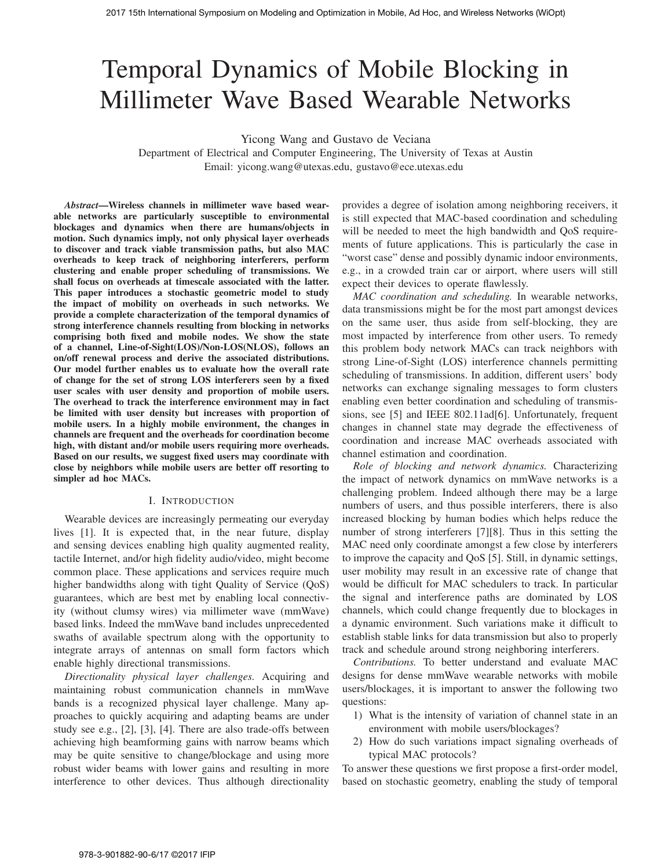# Temporal Dynamics of Mobile Blocking in Millimeter Wave Based Wearable Networks

Yicong Wang and Gustavo de Veciana

Department of Electrical and Computer Engineering, The University of Texas at Austin Email: yicong.wang@utexas.edu, gustavo@ece.utexas.edu

*Abstract*—Wireless channels in millimeter wave based wearable networks are particularly susceptible to environmental blockages and dynamics when there are humans/objects in motion. Such dynamics imply, not only physical layer overheads to discover and track viable transmission paths, but also MAC overheads to keep track of neighboring interferers, perform clustering and enable proper scheduling of transmissions. We shall focus on overheads at timescale associated with the latter. This paper introduces a stochastic geometric model to study the impact of mobility on overheads in such networks. We provide a complete characterization of the temporal dynamics of strong interference channels resulting from blocking in networks comprising both fixed and mobile nodes. We show the state of a channel, Line-of-Sight(LOS)/Non-LOS(NLOS), follows an on/off renewal process and derive the associated distributions. Our model further enables us to evaluate how the overall rate of change for the set of strong LOS interferers seen by a fixed user scales with user density and proportion of mobile users. The overhead to track the interference environment may in fact be limited with user density but increases with proportion of mobile users. In a highly mobile environment, the changes in channels are frequent and the overheads for coordination become high, with distant and/or mobile users requiring more overheads. Based on our results, we suggest fixed users may coordinate with close by neighbors while mobile users are better off resorting to simpler ad hoc MACs.

## I. INTRODUCTION

Wearable devices are increasingly permeating our everyday lives [1]. It is expected that, in the near future, display and sensing devices enabling high quality augmented reality, tactile Internet, and/or high fidelity audio/video, might become common place. These applications and services require much higher bandwidths along with tight Quality of Service (QoS) guarantees, which are best met by enabling local connectivity (without clumsy wires) via millimeter wave (mmWave) based links. Indeed the mmWave band includes unprecedented swaths of available spectrum along with the opportunity to integrate arrays of antennas on small form factors which enable highly directional transmissions.

*Directionality physical layer challenges.* Acquiring and maintaining robust communication channels in mmWave bands is a recognized physical layer challenge. Many approaches to quickly acquiring and adapting beams are under study see e.g., [2], [3], [4]. There are also trade-offs between achieving high beamforming gains with narrow beams which may be quite sensitive to change/blockage and using more robust wider beams with lower gains and resulting in more interference to other devices. Thus although directionality

provides a degree of isolation among neighboring receivers, it is still expected that MAC-based coordination and scheduling will be needed to meet the high bandwidth and QoS requirements of future applications. This is particularly the case in "worst case" dense and possibly dynamic indoor environments, e.g., in a crowded train car or airport, where users will still expect their devices to operate flawlessly.

*MAC coordination and scheduling.* In wearable networks, data transmissions might be for the most part amongst devices on the same user, thus aside from self-blocking, they are most impacted by interference from other users. To remedy this problem body network MACs can track neighbors with strong Line-of-Sight (LOS) interference channels permitting scheduling of transmissions. In addition, different users' body networks can exchange signaling messages to form clusters enabling even better coordination and scheduling of transmissions, see [5] and IEEE 802.11ad[6]. Unfortunately, frequent changes in channel state may degrade the effectiveness of coordination and increase MAC overheads associated with channel estimation and coordination.

*Role of blocking and network dynamics.* Characterizing the impact of network dynamics on mmWave networks is a challenging problem. Indeed although there may be a large numbers of users, and thus possible interferers, there is also increased blocking by human bodies which helps reduce the number of strong interferers [7][8]. Thus in this setting the MAC need only coordinate amongst a few close by interferers to improve the capacity and QoS [5]. Still, in dynamic settings, user mobility may result in an excessive rate of change that would be difficult for MAC schedulers to track. In particular the signal and interference paths are dominated by LOS channels, which could change frequently due to blockages in a dynamic environment. Such variations make it difficult to establish stable links for data transmission but also to properly track and schedule around strong neighboring interferers.

*Contributions.* To better understand and evaluate MAC designs for dense mmWave wearable networks with mobile users/blockages, it is important to answer the following two questions:

- 1) What is the intensity of variation of channel state in an environment with mobile users/blockages?
- 2) How do such variations impact signaling overheads of typical MAC protocols?

To answer these questions we first propose a first-order model, based on stochastic geometry, enabling the study of temporal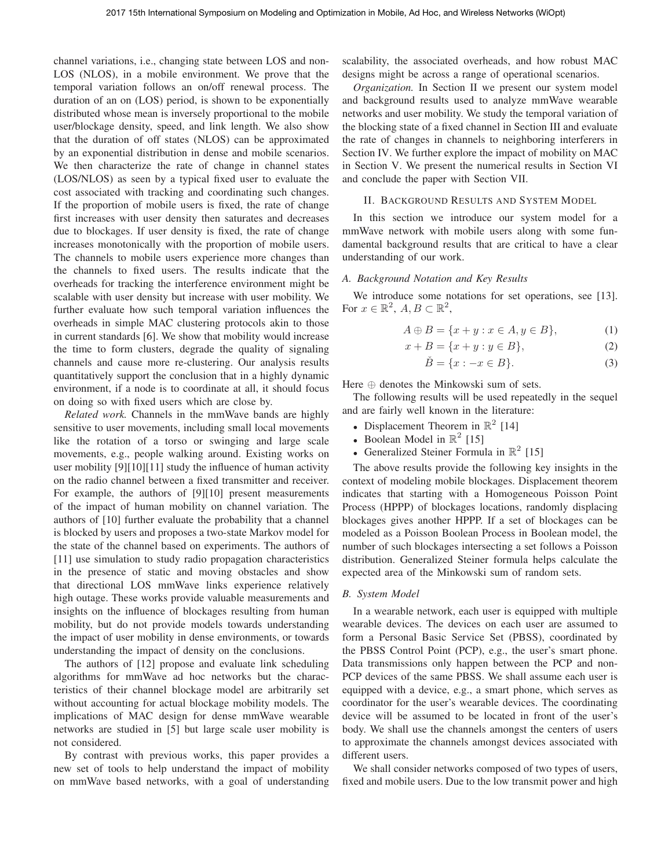channel variations, i.e., changing state between LOS and non-LOS (NLOS), in a mobile environment. We prove that the temporal variation follows an on/off renewal process. The duration of an on (LOS) period, is shown to be exponentially distributed whose mean is inversely proportional to the mobile user/blockage density, speed, and link length. We also show that the duration of off states (NLOS) can be approximated by an exponential distribution in dense and mobile scenarios. We then characterize the rate of change in channel states (LOS/NLOS) as seen by a typical fixed user to evaluate the cost associated with tracking and coordinating such changes. If the proportion of mobile users is fixed, the rate of change first increases with user density then saturates and decreases due to blockages. If user density is fixed, the rate of change increases monotonically with the proportion of mobile users. The channels to mobile users experience more changes than the channels to fixed users. The results indicate that the overheads for tracking the interference environment might be scalable with user density but increase with user mobility. We further evaluate how such temporal variation influences the overheads in simple MAC clustering protocols akin to those in current standards [6]. We show that mobility would increase the time to form clusters, degrade the quality of signaling channels and cause more re-clustering. Our analysis results quantitatively support the conclusion that in a highly dynamic environment, if a node is to coordinate at all, it should focus on doing so with fixed users which are close by.

*Related work.* Channels in the mmWave bands are highly sensitive to user movements, including small local movements like the rotation of a torso or swinging and large scale movements, e.g., people walking around. Existing works on user mobility [9][10][11] study the influence of human activity on the radio channel between a fixed transmitter and receiver. For example, the authors of [9][10] present measurements of the impact of human mobility on channel variation. The authors of [10] further evaluate the probability that a channel is blocked by users and proposes a two-state Markov model for the state of the channel based on experiments. The authors of [11] use simulation to study radio propagation characteristics in the presence of static and moving obstacles and show that directional LOS mmWave links experience relatively high outage. These works provide valuable measurements and insights on the influence of blockages resulting from human mobility, but do not provide models towards understanding the impact of user mobility in dense environments, or towards understanding the impact of density on the conclusions.

The authors of [12] propose and evaluate link scheduling algorithms for mmWave ad hoc networks but the characteristics of their channel blockage model are arbitrarily set without accounting for actual blockage mobility models. The implications of MAC design for dense mmWave wearable networks are studied in [5] but large scale user mobility is not considered.

By contrast with previous works, this paper provides a new set of tools to help understand the impact of mobility on mmWave based networks, with a goal of understanding scalability, the associated overheads, and how robust MAC designs might be across a range of operational scenarios.

*Organization.* In Section II we present our system model and background results used to analyze mmWave wearable networks and user mobility. We study the temporal variation of the blocking state of a fixed channel in Section III and evaluate the rate of changes in channels to neighboring interferers in Section IV. We further explore the impact of mobility on MAC in Section V. We present the numerical results in Section VI and conclude the paper with Section VII.

## II. BACKGROUND RESULTS AND SYSTEM MODEL

In this section we introduce our system model for a mmWave network with mobile users along with some fundamental background results that are critical to have a clear understanding of our work.

## *A. Background Notation and Key Results*

We introduce some notations for set operations, see [13]. For  $x \in \mathbb{R}^2$ ,  $A, B \subset \mathbb{R}^2$ ,

$$
A \oplus B = \{x + y : x \in A, y \in B\},\tag{1}
$$

$$
x + B = \{x + y : y \in B\},\tag{2}
$$

$$
\check{B} = \{x : -x \in B\}.
$$
\n(3)

Here ⊕ denotes the Minkowski sum of sets.

The following results will be used repeatedly in the sequel and are fairly well known in the literature:

- Displacement Theorem in  $\mathbb{R}^2$  [14]
- Boolean Model in  $\mathbb{R}^2$  [15]
- Generalized Steiner Formula in  $\mathbb{R}^2$  [15]

The above results provide the following key insights in the context of modeling mobile blockages. Displacement theorem indicates that starting with a Homogeneous Poisson Point Process (HPPP) of blockages locations, randomly displacing blockages gives another HPPP. If a set of blockages can be modeled as a Poisson Boolean Process in Boolean model, the number of such blockages intersecting a set follows a Poisson distribution. Generalized Steiner formula helps calculate the expected area of the Minkowski sum of random sets.

## *B. System Model*

In a wearable network, each user is equipped with multiple wearable devices. The devices on each user are assumed to form a Personal Basic Service Set (PBSS), coordinated by the PBSS Control Point (PCP), e.g., the user's smart phone. Data transmissions only happen between the PCP and non-PCP devices of the same PBSS. We shall assume each user is equipped with a device, e.g., a smart phone, which serves as coordinator for the user's wearable devices. The coordinating device will be assumed to be located in front of the user's body. We shall use the channels amongst the centers of users to approximate the channels amongst devices associated with different users.

We shall consider networks composed of two types of users, fixed and mobile users. Due to the low transmit power and high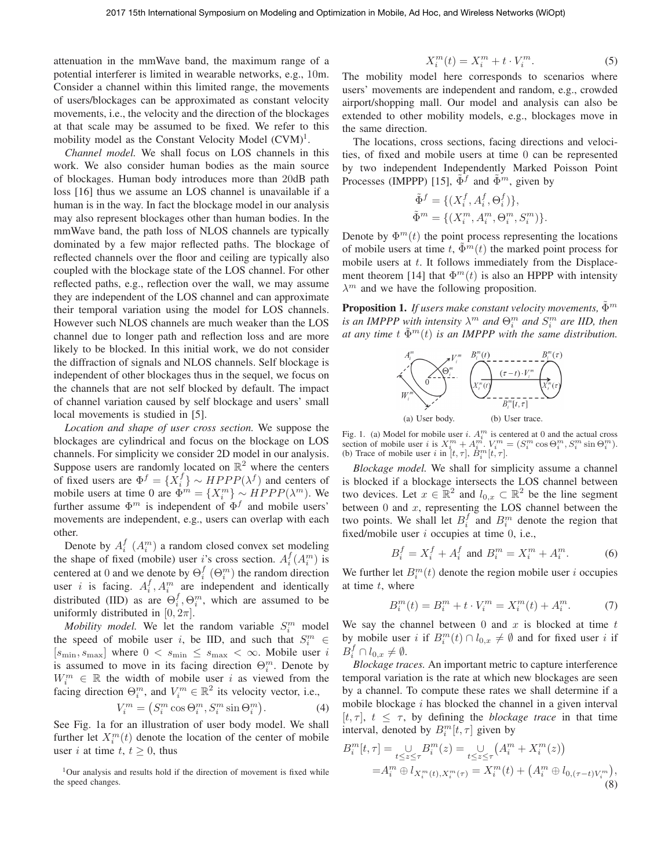attenuation in the mmWave band, the maximum range of a potential interferer is limited in wearable networks, e.g., 10m. Consider a channel within this limited range, the movements of users/blockages can be approximated as constant velocity movements, i.e., the velocity and the direction of the blockages at that scale may be assumed to be fixed. We refer to this mobility model as the Constant Velocity Model  $(CVM)^1$ .

*Channel model.* We shall focus on LOS channels in this work. We also consider human bodies as the main source of blockages. Human body introduces more than 20dB path loss [16] thus we assume an LOS channel is unavailable if a human is in the way. In fact the blockage model in our analysis may also represent blockages other than human bodies. In the mmWave band, the path loss of NLOS channels are typically dominated by a few major reflected paths. The blockage of reflected channels over the floor and ceiling are typically also coupled with the blockage state of the LOS channel. For other reflected paths, e.g., reflection over the wall, we may assume they are independent of the LOS channel and can approximate their temporal variation using the model for LOS channels. However such NLOS channels are much weaker than the LOS channel due to longer path and reflection loss and are more likely to be blocked. In this initial work, we do not consider the diffraction of signals and NLOS channels. Self blockage is independent of other blockages thus in the sequel, we focus on the channels that are not self blocked by default. The impact of channel variation caused by self blockage and users' small local movements is studied in [5].

*Location and shape of user cross section.* We suppose the blockages are cylindrical and focus on the blockage on LOS channels. For simplicity we consider 2D model in our analysis. Suppose users are randomly located on  $\mathbb{R}^2$  where the centers of fixed users are  $\Phi^f = \{X_i^f\} \sim HPPP(\lambda^f)$  and centers of mobile users at time 0 are  $\Phi^m = \{X_i^m\} \sim HPPP(\lambda^m)$ . We further assume  $\Phi^m$  is independent of  $\Phi^f$  and mobile users' movements are independent, e.g., users can overlap with each other.

Denote by  $A_i^f(A_i^m)$  a random closed convex set modeling the shape of fixed (mobile) user i's cross section.  $A_i^f(A_i^m)$  is centered at 0 and we denote by  $\Theta_i^f$  ( $\Theta_i^m$ ) the random direction user *i* is facing.  $A_i^f, A_i^m$  are independent and identically distributed (IID) as are  $\Theta_i^f$ ,  $\Theta_i^m$ , which are assumed to be uniformly distributed in  $[0, 2\pi]$ .

*Mobility model.* We let the random variable  $S_i^m$  model the speed of mobile user i, be IID, and such that  $S_i^m \in$  $[s_{\min},s_{\max}]$  where  $0 < s_{\min} \leq s_{\max} < \infty$  . Mobile user  $i$ is assumed to move in its facing direction  $\Theta_i^m$ . Denote by  $W_i^m \in \mathbb{R}$  the width of mobile user i as viewed from the facing direction  $\Theta_i^m$ , and  $V_i^m \in \mathbb{R}^2$  its velocity vector, i.e.,

$$
V_i^m = (S_i^m \cos \Theta_i^m, S_i^m \sin \Theta_i^m). \tag{4}
$$

See Fig. 1a for an illustration of user body model. We shall further let  $X_i^m(t)$  denote the location of the center of mobile user i at time t,  $t \geq 0$ , thus

$$
X_i^m(t) = X_i^m + t \cdot V_i^m. \tag{5}
$$

The mobility model here corresponds to scenarios where users' movements are independent and random, e.g., crowded airport/shopping mall. Our model and analysis can also be extended to other mobility models, e.g., blockages move in the same direction.

The locations, cross sections, facing directions and velocities, of fixed and mobile users at time 0 can be represented by two independent Independently Marked Poisson Point Processes (IMPPP) [15],  $\tilde{\Phi}^f$  and  $\tilde{\Phi}^m$ , given by

$$
\tilde{\Phi}^{f} = \{ (X_i^f, A_i^f, \Theta_i^f) \}, \n\tilde{\Phi}^{m} = \{ (X_i^m, A_i^m, \Theta_i^m, S_i^m) \}.
$$

Denote by  $\Phi^m(t)$  the point process representing the locations of mobile users at time t,  $\tilde{\Phi}^m(t)$  the marked point process for mobile users at  $t$ . It follows immediately from the Displacement theorem [14] that  $\Phi^{m}(t)$  is also an HPPP with intensity  $\lambda^m$  and we have the following proposition.

**Proposition 1.** *If users make constant velocity movements,*  $\tilde{\Phi}^m$ *is an IMPPP with intensity*  $\lambda^m$  *and*  $\Theta_i^m$  *and*  $S_i^m$  *are IID, then at any time*  $t \tilde{\Phi}^m(t)$  *is an IMPPP with the same distribution.* 



Fig. 1. (a) Model for mobile user i.  $A_i^m$  is centered at 0 and the actual cross section of mobile user i is  $X_i^m + A_i^m$ .  $V_i^m = (S_i^m \cos \Theta_i^m, S_i^m \sin \Theta_i^m)$ . (b) Trace of mobile user i in  $[t, \tau]$ ,  $\dot{B}_i^m[t, \tau]$ .

*Blockage model.* We shall for simplicity assume a channel is blocked if a blockage intersects the LOS channel between two devices. Let  $x \in \mathbb{R}^2$  and  $l_{0,x} \subset \mathbb{R}^2$  be the line segment between  $0$  and  $x$ , representing the LOS channel between the two points. We shall let  $B_i^f$  and  $B_i^m$  denote the region that fixed/mobile user  $i$  occupies at time 0, i.e.,

$$
B_i^f = X_i^f + A_i^f \text{ and } B_i^m = X_i^m + A_i^m. \tag{6}
$$

We further let  $B_i^m(t)$  denote the region mobile user *i* occupies at time  $t$ , where

$$
B_i^m(t) = B_i^m + t \cdot V_i^m = X_i^m(t) + A_i^m.
$$
 (7)

We say the channel between 0 and  $x$  is blocked at time  $t$ by mobile user *i* if  $B_i^m(t) \cap l_{0,x} \neq \emptyset$  and for fixed user *i* if  $B_i^f \cap l_{0,x} \neq \emptyset.$ 

*Blockage traces.* An important metric to capture interference temporal variation is the rate at which new blockages are seen by a channel. To compute these rates we shall determine if a mobile blockage  $i$  has blocked the channel in a given interval [ $t, \tau$ ],  $t \leq \tau$ , by defining the *blockage trace* in that time interval, denoted by  $B_i^m[t, \tau]$  given by

$$
B_i^m[t, \tau] = \bigcup_{t \le z \le \tau} B_i^m(z) = \bigcup_{t \le z \le \tau} \left( A_i^m + X_i^m(z) \right)
$$
  
=  $A_i^m \oplus l_{X_i^m(t), X_i^m(\tau)} = X_i^m(t) + \left( A_i^m \oplus l_{0, (\tau - t) V_i^m} \right),$  (8)

<sup>&</sup>lt;sup>1</sup>Our analysis and results hold if the direction of movement is fixed while the speed changes.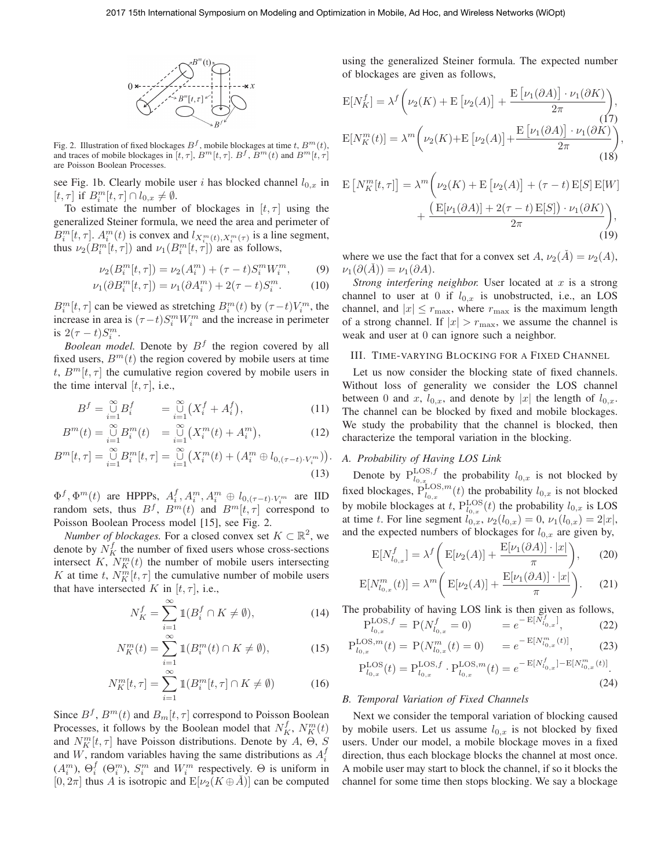

Fig. 2. Illustration of fixed blockages  $B<sup>f</sup>$ , mobile blockages at time t,  $B<sup>m</sup>(t)$ , and traces of mobile blockages in  $[t, \tau]$ ,  $B^m[t, \tau]$ .  $B^f$ ,  $B^m(t)$  and  $B^m[t, \tau]$ are Poisson Boolean Processes.

see Fig. 1b. Clearly mobile user i has blocked channel  $l_{0,x}$  in [ $t, \tau$ ] if  $B_i^m[t, \tau] \cap l_{0,x} \neq \emptyset$ .

To estimate the number of blockages in  $[t, \tau]$  using the generalized Steiner formula, we need the area and perimeter of  $B_i^m[t, \tau]$ .  $A_i^m(t)$  is convex and  $l_{X_i^m(t), X_i^m(\tau)}$  is a line segment, thus  $\nu_2(B_i^m[t,\tau])$  and  $\nu_1(B_i^m[t,\tau])$  are as follows,

$$
\nu_2(B_i^m[t,\tau]) = \nu_2(A_i^m) + (\tau - t)S_i^m W_i^m, \tag{9}
$$

$$
\nu_1(\partial B_i^m[t,\tau]) = \nu_1(\partial A_i^m) + 2(\tau - t)S_i^m.
$$
 (10)

 $B_i^m[t, \tau]$  can be viewed as stretching  $B_i^m(t)$  by  $(\tau - t)V_i^m$ , the increase in area is  $(\tau - t)S_i^m W_i^m$  and the increase in perimeter is  $2(\tau - t)S_i^m$ .

*Boolean model.* Denote by  $B^f$  the region covered by all fixed users,  $B<sup>m</sup>(t)$  the region covered by mobile users at time t,  $B<sup>m</sup>[t, \tau]$  the cumulative region covered by mobile users in the time interval  $[t, \tau]$ , i.e.,

$$
Bf = \bigcup_{i=1}^{\infty} B_i^f = \bigcup_{i=1}^{\infty} \left( X_i^f + A_i^f \right), \tag{11}
$$

$$
B^{m}(t) = \bigcup_{i=1}^{\infty} B_{i}^{m}(t) = \bigcup_{i=1}^{\infty} \left( X_{i}^{m}(t) + A_{i}^{m} \right), \tag{12}
$$

$$
B^{m}[t,\tau] = \bigcup_{i=1}^{\infty} B_{i}^{m}[t,\tau] = \bigcup_{i=1}^{\infty} \left( X_{i}^{m}(t) + (A_{i}^{m} \oplus l_{0,(\tau-t)\cdot V_{i}^{m}}) \right). \tag{13}
$$

 $\Phi^f, \Phi^m(t)$  are HPPPs,  $A_i^f, A_i^m, A_i^m \oplus l_{0,(\tau-t)\cdot V_i^m}$  are IID random sets, thus  $B^f$ ,  $B^m(t)$  and  $B^m[t, \tau]$  correspond to Poisson Boolean Process model [15], see Fig. 2.

*Number of blockages.* For a closed convex set  $K \subset \mathbb{R}^2$ , we denote by  $N_K^f$  the number of fixed users whose cross-sections intersect  $K$ ,  $N_K^m(t)$  the number of mobile users intersecting K at time t,  $N_K^m[t, \tau]$  the cumulative number of mobile users that have intersected K in  $[t, \tau]$ , i.e.,

$$
N_K^f = \sum_{i=1}^{\infty} \mathbb{1}(B_i^f \cap K \neq \emptyset),\tag{14}
$$

$$
N_K^m(t) = \sum_{i=1}^{\infty} \mathbb{1}(B_i^m(t) \cap K \neq \emptyset),\tag{15}
$$

$$
N_K^m[t, \tau] = \sum_{i=1}^{\infty} \mathbb{1}(B_i^m[t, \tau] \cap K \neq \emptyset)
$$
 (16)

Since  $B^f$ ,  $B^m(t)$  and  $B_m[t, \tau]$  correspond to Poisson Boolean Processes, it follows by the Boolean model that  $N_K^f$ ,  $N_K^m(t)$ and  $N_K^m[t, \tau]$  have Poisson distributions. Denote by A,  $\hat{\Theta}$ , S and  $W$ , random variables having the same distributions as  $A_i^f$  $(A_i^m)$ ,  $\Theta_i^f$  ( $\Theta_i^m$ ),  $S_i^m$  and  $W_i^m$  respectively.  $\Theta$  is uniform in  $[0, 2\pi]$  thus A is isotropic and  $E[\nu_2(K \oplus \AA)]$  can be computed

using the generalized Steiner formula. The expected number of blockages are given as follows,

$$
E[N_K^f] = \lambda^f \left(\nu_2(K) + E\left[\nu_2(A)\right] + \frac{E\left[\nu_1(\partial A)\right] \cdot \nu_1(\partial K)}{2\pi}\right),
$$
\n
$$
E[N_K^m(t)] = \lambda^m \left(\nu_2(K) + E\left[\nu_2(A)\right] + \frac{E\left[\nu_1(\partial A)\right] \cdot \nu_1(\partial K)}{2\pi}\right)
$$
\n(18)

,

$$
\mathcal{E}\left[N_K^m[t,\tau]\right] = \lambda^m \left(\nu_2(K) + \mathcal{E}\left[\nu_2(A)\right] + (\tau - t)\mathcal{E}[S]\mathcal{E}[W]\right) + \frac{\left(\mathcal{E}[\nu_1(\partial A)] + 2(\tau - t)\mathcal{E}[S]\right) \cdot \nu_1(\partial K)}{2\pi}\right),\tag{19}
$$

where we use the fact that for a convex set  $A, \nu_2(\tilde{A}) = \nu_2(A)$ ,  $\nu_1(\partial(\check{A})) = \nu_1(\partial A).$ 

*Strong interfering neighbor.* User located at  $x$  is a strong channel to user at 0 if  $l_{0,x}$  is unobstructed, i.e., an LOS channel, and  $|x| \leq r_{\text{max}}$ , where  $r_{\text{max}}$  is the maximum length of a strong channel. If  $|x| > r_{\text{max}}$ , we assume the channel is weak and user at 0 can ignore such a neighbor.

## III. TIME-VARYING BLOCKING FOR A FIXED CHANNEL

Let us now consider the blocking state of fixed channels. Without loss of generality we consider the LOS channel between 0 and x,  $l_{0,x}$ , and denote by |x| the length of  $l_{0,x}$ . The channel can be blocked by fixed and mobile blockages. We study the probability that the channel is blocked, then characterize the temporal variation in the blocking.

# *A. Probability of Having LOS Link*

Denote by  $P_{l_{0,x}}^{\text{LOS},f}$  the probability  $l_{0,x}$  is not blocked by fixed blockages,  $P_{l_{0,x}}^{\text{LOS},m}(t)$  the probability  $l_{0,x}$  is not blocked by mobile blockages at t,  $P_{l_{0,x}}^{\text{LOS}}(t)$  the probability  $l_{0,x}$  is LOS at time t. For line segment  $l_{0,x}^{0,x}$ ,  $\nu_2(l_{0,x})=0$ ,  $\nu_1(l_{0,x})=2|x|$ , and the expected numbers of blockages for  $l_{0,x}$  are given by,

$$
E[N_{l_{0,x}}^f] = \lambda^f \left( E[\nu_2(A)] + \frac{E[\nu_1(\partial A)] \cdot |x|}{\pi} \right), \quad (20)
$$

$$
E[N_{l_{0,x}}^m(t)] = \lambda^m \left( E[\nu_2(A)] + \frac{E[\nu_1(\partial A)] \cdot |x|}{\pi} \right).
$$
 (21)

The probability of having LOS link is then given as follows,

$$
\mathbf{P}_{l_{0,x}}^{\text{LOS},f} = \mathbf{P}(N_{l_{0,x}}^f = 0) = e^{-\mathbf{E}[\tilde{N}_{l_{0,x}}^f]},\tag{22}
$$

$$
P_{l_{0,x}}^{LOS,m}(t) = P(N_{l_{0,x}}^m(t) = 0) = e^{-E[N_{l_{0,x}}^m(t)]},
$$
\n(23)

$$
P_{l_{0,x}}^{LOS}(t) = P_{l_{0,x}}^{LOS,f} \cdot P_{l_{0,x}}^{LOS,m}(t) = e^{-E[N_{l_{0,x}}^f] - E[N_{l_{0,x}}^m(t)]}.
$$
\n(24)

#### *B. Temporal Variation of Fixed Channels*

Next we consider the temporal variation of blocking caused by mobile users. Let us assume  $l_{0,x}$  is not blocked by fixed users. Under our model, a mobile blockage moves in a fixed direction, thus each blockage blocks the channel at most once. A mobile user may start to block the channel, if so it blocks the channel for some time then stops blocking. We say a blockage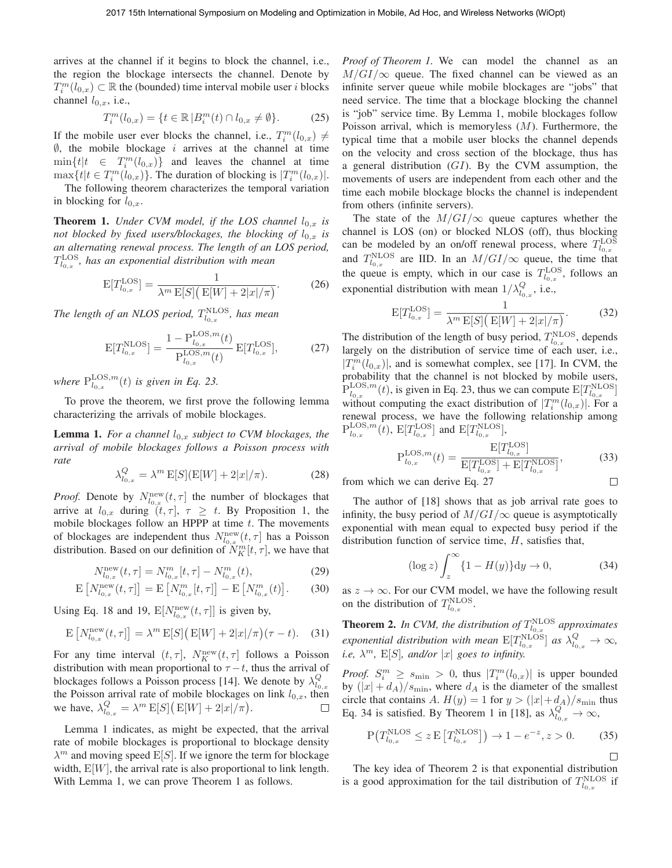arrives at the channel if it begins to block the channel, i.e., the region the blockage intersects the channel. Denote by  $T_i^m(l_{0,x}) \subset \mathbb{R}$  the (bounded) time interval mobile user *i* blocks channel  $l_{0,x}$ , i.e.,

$$
T_i^m(l_{0,x}) = \{ t \in \mathbb{R} \, | B_i^m(t) \cap l_{0,x} \neq \emptyset \}. \tag{25}
$$

If the mobile user ever blocks the channel, i.e.,  $T_i^m(l_{0,x}) \neq$  $\emptyset$ , the mobile blockage *i* arrives at the channel at time  $\min\{t | t \in T_i^m(l_{0,x})\}$  and leaves the channel at time  $\max\{t | t \in T_i^m(l_{0,x})\}$ . The duration of blocking is  $|T_i^m(l_{0,x})|$ .

The following theorem characterizes the temporal variation in blocking for  $l_{0,x}$ .

**Theorem 1.** *Under CVM model, if the LOS channel*  $l_{0,x}$  *is not blocked by fixed users/blockages, the blocking of*  $l_{0,x}$  *is an alternating renewal process. The length of an LOS period,*  $T_{l_{0,x}}^{\text{LOS}}$ , has an exponential distribution with mean

$$
E[T_{l_{0,x}}^{\text{LOS}}] = \frac{1}{\lambda^m E[S] (E[W] + 2|x|/\pi)}.
$$
 (26)

*The length of an NLOS period,*  $T_{l_{0,x}}^{\text{NLOS}}$ , has mean

$$
E[T_{l_{0,x}}^{\text{NLOS}}] = \frac{1 - P_{l_{0,x}}^{\text{LOS},m}(t)}{P_{l_{0,x}}^{\text{LOS},m}(t)} E[T_{l_{0,x}}^{\text{LOS}}],\tag{27}
$$

where  $P_{l_{0,x}}^{\text{LOS},m}(t)$  is given in Eq. 23.

To prove the theorem, we first prove the following lemma characterizing the arrivals of mobile blockages.

**Lemma 1.** For a channel  $l_{0,x}$  subject to CVM blockages, the *arrival of mobile blockages follows a Poisson process with rate*

$$
\lambda_{l_{0,x}}^Q = \lambda^m \mathbf{E}[S](\mathbf{E}[W] + 2|x|/\pi). \tag{28}
$$

*Proof.* Denote by  $N_{l_{0,x}}^{\text{new}}(t, \tau)$  the number of blockages that arrive at  $l_{0,x}$  during  $(t, \tau]$ ,  $\tau \geq t$ . By Proposition 1, the mobile blockages follow an HPPP at time  $t$ . The movements of blockages are independent thus  $N_{l_{0,x}}^{\text{new}}(t, \tau)$  has a Poisson distribution. Based on our definition of  $N_K^m[t, \tau]$ , we have that

$$
N_{l_{0,x}}^{\text{new}}(t,\tau] = N_{l_{0,x}}^m[t,\tau] - N_{l_{0,x}}^m(t),\tag{29}
$$

$$
\mathcal{E}\left[N_{l_{0,x}}^{\text{new}}(t,\tau)\right] = \mathcal{E}\left[N_{l_{0,x}}^m[t,\tau]\right] - \mathcal{E}\left[N_{l_{0,x}}^m(t)\right].\tag{30}
$$

Using Eq. 18 and 19,  $E[N_{l_{0,x}}^{\text{new}}(t, \tau]]$  is given by,

$$
\mathbb{E}\left[N_{l_{0,x}}^{\text{new}}(t,\tau)\right] = \lambda^m \mathbb{E}[S]\left(\mathbb{E}[W] + 2|x|/\pi\right)(\tau - t). \quad (31)
$$

For any time interval  $(t, \tau]$ ,  $N_K^{\text{new}}(t, \tau)$  follows a Poisson distribution with mean proportional to  $\tau - t$ , thus the arrival of blockages follows a Poisson process [14]. We denote by  $\lambda_{l_{0,x}}^Q$ the Poisson arrival rate of mobile blockages on link  $l_{0,x}$ , then we have,  $\lambda_{l_{0,x}}^Q = \lambda^m \, \mathbb{E}[S] \big( \mathbb{E}[W] + 2|x|/\pi \big)$ .

Lemma 1 indicates, as might be expected, that the arrival rate of mobile blockages is proportional to blockage density  $\lambda^m$  and moving speed E[S]. If we ignore the term for blockage width,  $E[W]$ , the arrival rate is also proportional to link length. With Lemma 1, we can prove Theorem 1 as follows.

*Proof of Theorem 1.* We can model the channel as an  $M/GI/\infty$  queue. The fixed channel can be viewed as an infinite server queue while mobile blockages are "jobs" that need service. The time that a blockage blocking the channel is "job" service time. By Lemma 1, mobile blockages follow Poisson arrival, which is memoryless  $(M)$ . Furthermore, the typical time that a mobile user blocks the channel depends on the velocity and cross section of the blockage, thus has a general distribution  $(GI)$ . By the CVM assumption, the movements of users are independent from each other and the time each mobile blockage blocks the channel is independent from others (infinite servers).

The state of the  $M/GI/\infty$  queue captures whether the channel is LOS (on) or blocked NLOS (off), thus blocking can be modeled by an on/off renewal process, where  $T_{l_{0,x}}^{\text{LOS}}$ and  $T_{l_{0,x}}^{\text{NLOS}}$  are IID. In an  $M/GI/\infty$  queue, the time that the queue is empty, which in our case is  $T_{l_{0,x}}^{\text{LOS}}$ , follows an exponential distribution with mean  $1/\lambda_{l_{0,x}}^Q$ , i.e.,

$$
E[T_{l_{0,x}}^{\text{LOS}}] = \frac{1}{\lambda^m E[S] (E[W] + 2|x|/\pi)}.
$$
 (32)

The distribution of the length of busy period,  $T_{l_{0,x}}^{\text{NLOS}}$ , depends largely on the distribution of service time of each user, i.e.,  $|T_i^m(l_{0,x})|$ , and is somewhat complex, see [17]. In CVM, the probability that the channel is not blocked by mobile users,  $\mathrm{P}_{l_{0,x}}^{\mathrm{LOS},m}(t)$ , is given in Eq. 23, thus we can compute  $\mathrm{E}[T_{l_{0,x}}^{\mathrm{NLOS}}]$ without computing the exact distribution of  $|T_i^m(l_{0,x})|$ . For a renewal process, we have the following relationship among  $P_{l_{0,x}}^{\text{LOS},m}(\tilde{t}), E[T_{l_{0,x}}^{\text{LOS}}]$  and  $E[T_{l_{0,x}}^{\text{NLOS}}],$ 

$$
P_{l_{0,x}}^{\text{LOS},m}(t) = \frac{E[T_{l_{0,x}}^{\text{LOS}}]}{E[T_{l_{0,x}}^{\text{LOS}}] + E[T_{l_{0,x}}^{\text{NLOS}}]},
$$
(33)

 $\Box$ 

from which we can derive Eq. 27

The author of [18] shows that as job arrival rate goes to infinity, the busy period of  $M/GI/\infty$  queue is asymptotically exponential with mean equal to expected busy period if the distribution function of service time,  $H$ , satisfies that,

$$
(\log z) \int_{z}^{\infty} \{1 - H(y)\} \mathrm{d}y \to 0,\tag{34}
$$

as  $z \to \infty$ . For our CVM model, we have the following result on the distribution of  $T_{l_{0,x}}^{\text{NLOS}}$ .

**Theorem 2.** In CVM, the distribution of  $T_{l_{0,x}}^{\text{NLOS}}$  approximates *exponential distribution with mean*  $\mathrm{E}[T_{l_{0,x}}^{\mathrm{NLOS}}]$  *as*  $\lambda_{l_{0,x}}^Q \to \infty$ , *i.e,*  $\lambda^m$ ,  $E[S]$ *, and/or*  $|x|$  *goes to infinity.* 

*Proof.*  $S_i^m \geq s_{\min} > 0$ , thus  $|T_i^m(l_{0,x})|$  is upper bounded by  $(|x| + d<sub>A</sub>)/s_{\text{min}}$ , where  $d<sub>A</sub>$  is the diameter of the smallest circle that contains A.  $H(y)=1$  for  $y > (|x|+d<sub>A</sub>)/s<sub>min</sub>$  thus Eq. 34 is satisfied. By Theorem 1 in [18], as  $\lambda_{l_{0,x}}^Q \to \infty$ ,

$$
P\left(T_{l_{0,x}}^{\text{NLOS}} \leq z \mathbb{E}\left[T_{l_{0,x}}^{\text{NLOS}}\right]\right) \to 1 - e^{-z}, z > 0. \tag{35}
$$

The key idea of Theorem 2 is that exponential distribution is a good approximation for the tail distribution of  $T_{l_{0,x}}^{\text{NLOS}}$  if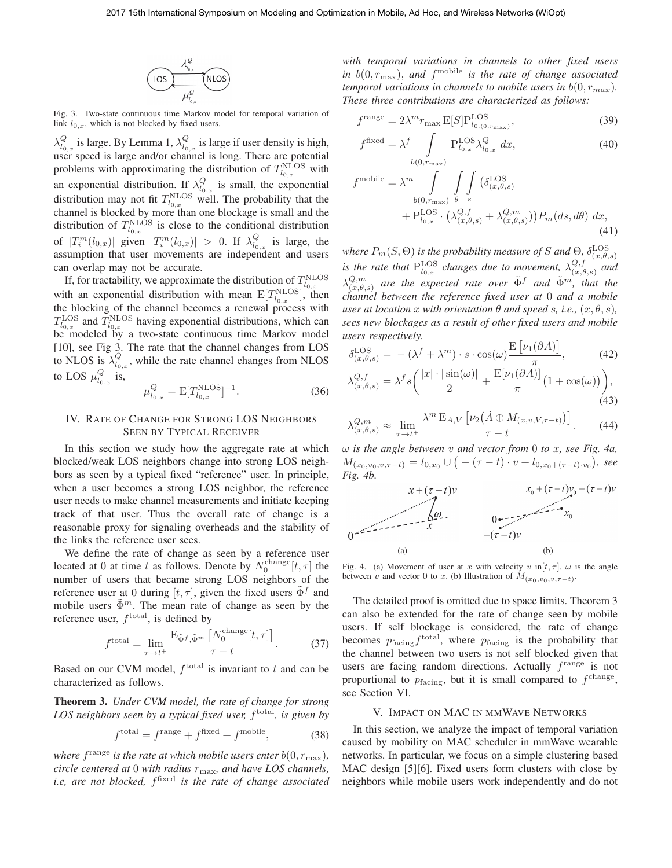

Fig. 3. Two-state continuous time Markov model for temporal variation of link  $l_{0,x}$ , which is not blocked by fixed users.

 $\lambda_{l_{0,x}}^Q$  is large. By Lemma 1,  $\lambda_{l_{0,x}}^Q$  is large if user density is high, user speed is large and/or channel is long. There are potential problems with approximating the distribution of  $T_{l_{0,x}}^{\text{NLOS}}$  with an exponential distribution. If  $\lambda_{l_{0,x}}^Q$  is small, the exponential distribution may not fit  $T_{l_{0,x}}^{\text{NLOS}}$  well. The probability that the channel is blocked by more than one blockage is small and the distribution of  $T_{l_{0,x}}^{\text{NLOS}}$  is close to the conditional distribution of  $|T_i^m(l_{0,x})|$  given  $|T_i^m(l_{0,x})| > 0$ . If  $\lambda_{l_{0,x}}^Q$  is large, the assumption that user movements are independent and users can overlap may not be accurate.

If, for tractability, we approximate the distribution of  $T_{l_{0,x}}^{\text{NLOS}}$ with an exponential distribution with mean  $E[T_{l_{0,x}}^{NLOS}]$ , then the blocking of the channel becomes a renewal process with  $T_{l_{0,x}}^{\text{LOS}}$  and  $T_{l_{0,x}}^{\text{NLOS}}$  having exponential distributions, which can be modeled by a two-state continuous time Markov model [10], see Fig 3. The rate that the channel changes from LOS to NLOS is  $\lambda_{l_{0,x}}^Q$ , while the rate channel changes from NLOS to LOS  $\mu_{l_{0,x}}^Q$  is,

$$
\mu_{l_{0,x}}^Q = \mathbb{E}[T_{l_{0,x}}^{\text{NLOS}}]^{-1}.
$$
 (36)

# IV. RATE OF CHANGE FOR STRONG LOS NEIGHBORS SEEN BY TYPICAL RECEIVER

In this section we study how the aggregate rate at which blocked/weak LOS neighbors change into strong LOS neighbors as seen by a typical fixed "reference" user. In principle, when a user becomes a strong LOS neighbor, the reference user needs to make channel measurements and initiate keeping track of that user. Thus the overall rate of change is a reasonable proxy for signaling overheads and the stability of the links the reference user sees.

We define the rate of change as seen by a reference user located at 0 at time t as follows. Denote by  $N_0^{\text{change}}[t, \tau]$  the number of users that became strong LOS neighbors of the reference user at 0 during  $[t, \tau]$ , given the fixed users  $\tilde{\Phi}^f$  and mobile users  $\tilde{\Phi}^m$ . The mean rate of change as seen by the reference user,  $f<sup>total</sup>$ , is defined by

$$
f^{\text{total}} = \lim_{\tau \to t^{+}} \frac{\mathbf{E}_{\tilde{\Phi}^{f}, \tilde{\Phi}^{m}} \left[ N_{0}^{\text{change}}[t, \tau] \right]}{\tau - t}.
$$
 (37)

Based on our CVM model,  $f<sup>total</sup>$  is invariant to t and can be characterized as follows.

Theorem 3. *Under CVM model, the rate of change for strong* LOS neighbors seen by a typical fixed user, f<sup>total</sup>, is given by

$$
ftotal = frange + ffixed + fmobile,
$$
 (38)

*where*  $f^{\text{range}}$  *is the rate at which mobile users enter*  $b(0, r_{\text{max}})$ *, circle centered at* 0 *with radius* rmax*, and have LOS channels, i.e, are not blocked,* ffixed *is the rate of change associated*

*with temporal variations in channels to other fixed users in*  $b(0, r_{\text{max}})$ *, and*  $f^{\text{mobile}}$  *is the rate of change associated temporal variations in channels to mobile users in*  $b(0, r_{max})$ . *These three contributions are characterized as follows:*

$$
frange = 2\lambdam rmax \mathcal{E}[S] \mathcal{P}_{l_{0,(0,r_{\text{max}})}}^{\text{LOS}},
$$
\n(39)

$$
f^{\text{fixed}} = \lambda^f \int\limits_{b(0,r_{\text{max}})} P_{l_{0,x}}^{\text{LOS}} \lambda_{l_{0,x}}^Q dx,
$$
 (40)

$$
f^{\text{mobile}} = \lambda^m \int\limits_{b(0,r_{\text{max}})} \int\limits_{\theta} \int\limits_{s} (\delta^{\text{LOS}}_{(x,\theta,s)} + P^{\text{LOS}}_{l_{0,x}} \cdot (\lambda^{Q,f}_{(x,\theta,s)} + \lambda^{Q,m}_{(x,\theta,s)})) P_m(ds, d\theta) dx,
$$
\n(41)

*where*  $P_m(S, \Theta)$  *is the probability measure of* S and  $\Theta$ ,  $\delta_{(x, \theta, s)}^{\text{LOS}}$ *is the rate that*  $P_{l_{0,x}}^{LOS}$  *changes due to movement,*  $\lambda_{(x,\theta,s)}^{Q,f}$  *and*  $\lambda_{(x,\theta,s)}^{Q,m}$  are the expected rate over  $\tilde{\Phi}^f$  and  $\tilde{\Phi}^m$ , that the *channel between the reference fixed user at* 0 *and a mobile user at location* x *with orientation*  $\theta$  *and speed s, i.e.,*  $(x, \theta, s)$ *, sees new blockages as a result of other fixed users and mobile users respectively.*

$$
\delta_{(x,\theta,s)}^{\text{LOS}} = -(\lambda^f + \lambda^m) \cdot s \cdot \cos(\omega) \frac{\text{E}[\nu_1(\partial A)]}{\pi},\tag{42}
$$

$$
\lambda_{(x,\theta,s)}^{Q,f} = \lambda^f s \bigg( \frac{|x| \cdot |\sin(\omega)|}{2} + \frac{\mathcal{E}[\nu_1(\partial A)]}{\pi} \big( 1 + \cos(\omega) \big) \bigg),\tag{43}
$$

$$
\lambda_{(x,\theta,s)}^{Q,m} \approx \lim_{\tau \to t^+} \frac{\lambda^m \, \mathcal{E}_{A,V} \left[ \nu_2 \big( \check{A} \oplus M_{(x,v,V,\tau-t)} \big) \right]}{\tau - t} . \tag{44}
$$

ω *is the angle between* v *and vector from* 0 *to* x*, see Fig. 4a,*  $M_{(x_0, v_0, v, \tau - t)} = l_{0,x_0} ∪ (−(τ − t) · v + l_{0,x_0+(τ − t) · v_0}),$  see *Fig. 4b.*



Fig. 4. (a) Movement of user at x with velocity v in $[t, \tau]$ .  $\omega$  is the angle between v and vector 0 to x. (b) Illustration of  $M_{(x_0,v_0,v,\tau-t)}$ .

The detailed proof is omitted due to space limits. Theorem 3 can also be extended for the rate of change seen by mobile users. If self blockage is considered, the rate of change becomes  $p_{\text{facing}} f^{\text{total}}$ , where  $p_{\text{facing}}$  is the probability that the channel between two users is not self blocked given that users are facing random directions. Actually  $f<sup>range</sup>$  is not proportional to  $p_{\text{facing}}$ , but it is small compared to  $f^{\text{change}}$ , see Section VI.

# V. IMPACT ON MAC IN MMWAVE NETWORKS

In this section, we analyze the impact of temporal variation caused by mobility on MAC scheduler in mmWave wearable networks. In particular, we focus on a simple clustering based MAC design [5][6]. Fixed users form clusters with close by neighbors while mobile users work independently and do not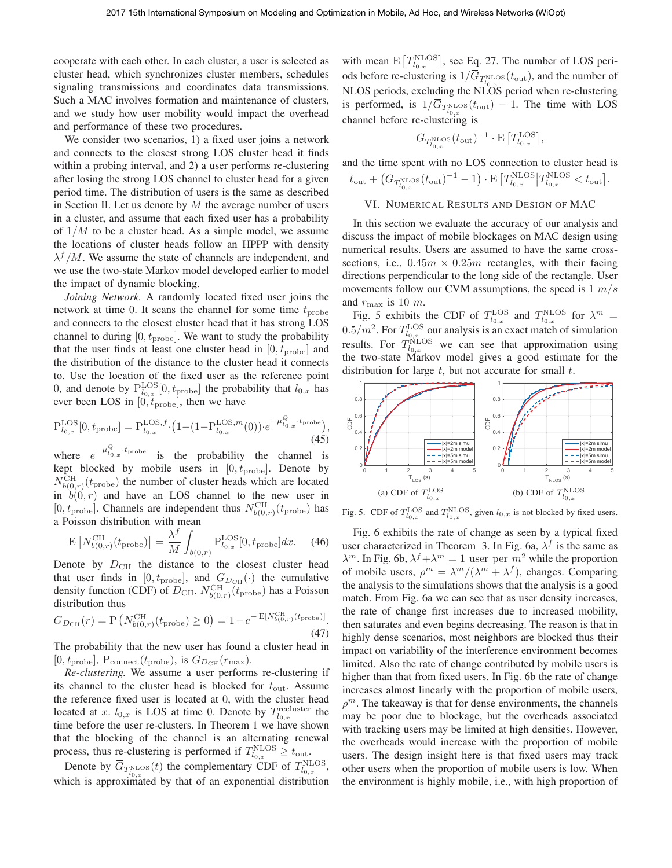cooperate with each other. In each cluster, a user is selected as cluster head, which synchronizes cluster members, schedules signaling transmissions and coordinates data transmissions. Such a MAC involves formation and maintenance of clusters, and we study how user mobility would impact the overhead and performance of these two procedures.

We consider two scenarios, 1) a fixed user joins a network and connects to the closest strong LOS cluster head it finds within a probing interval, and 2) a user performs re-clustering after losing the strong LOS channel to cluster head for a given period time. The distribution of users is the same as described in Section II. Let us denote by  $M$  the average number of users in a cluster, and assume that each fixed user has a probability of  $1/M$  to be a cluster head. As a simple model, we assume the locations of cluster heads follow an HPPP with density  $\lambda^{f}/M$ . We assume the state of channels are independent, and we use the two-state Markov model developed earlier to model the impact of dynamic blocking.

*Joining Network.* A randomly located fixed user joins the network at time 0. It scans the channel for some time  $t_{\text{probe}}$ and connects to the closest cluster head that it has strong LOS channel to during  $[0, t_{\text{probe}}]$ . We want to study the probability that the user finds at least one cluster head in  $[0, t_{\text{probe}}]$  and the distribution of the distance to the cluster head it connects to. Use the location of the fixed user as the reference point 0, and denote by  $P_{l_{0,x}}^{\text{LOS}}[0, t_{\text{probe}}]$  the probability that  $l_{0,x}$  has ever been LOS in  $[0, t_{\text{probe}}]$ , then we have

$$
P_{l_{0,x}}^{LOS}[0, t_{\text{probe}}] = P_{l_{0,x}}^{LOS, f} \cdot (1 - (1 - P_{l_{0,x}}^{LOS, m}(0)) \cdot e^{-\mu_{l_{0,x}}^Q \cdot t_{\text{probe}}}),
$$
\n(45)

where  $e^{-\mu_{l_{0,x}}^Q \cdot t_{\text{probe}}}$  is the probability the channel is kept blocked by mobile users in  $[0, t_{\text{probe}}]$ . Denote by  $N_{b(0,r)}^{\rm CH}(t_{\rm probe})$  the number of cluster heads which are located in  $b(0, r)$  and have an LOS channel to the new user in [0,  $t_{\text{probe}}$ ]. Channels are independent thus  $N_{b(0,r)}^{\text{CH}}(t_{\text{probe}})$  has a Poisson distribution with mean

$$
\mathcal{E}\left[N_{b(0,r)}^{\text{CH}}(t_{\text{probe}})\right] = \frac{\lambda^f}{M} \int_{b(0,r)} \mathcal{P}_{l_{0,x}}^{\text{LOS}}[0, t_{\text{probe}}] dx. \tag{46}
$$

Denote by  $D_{\text{CH}}$  the distance to the closest cluster head that user finds in [0,  $t_{\text{probe}}$ ], and  $G_{D_{\text{CH}}}(\cdot)$  the cumulative density function (CDF) of  $D_{\text{CH}}$ .  $N_{b(0,r)}^{\text{CH}}(t_{\text{probe}})$  has a Poisson distribution thus

$$
G_{D_{\text{CH}}}(r) = \text{P}\left(N_{b(0,r)}^{\text{CH}}(t_{\text{probe}}) \ge 0\right) = 1 - e^{-\mathcal{E}[N_{b(0,r)}^{\text{CH}}(t_{\text{probe}})]}.
$$
\n(47)

The probability that the new user has found a cluster head in  $[0, t_{\text{probe}}]$ ,  $P_{\text{connect}}(t_{\text{probe}})$ , is  $G_{D_{\text{CH}}}(r_{\text{max}})$ .

*Re-clustering.* We assume a user performs re-clustering if its channel to the cluster head is blocked for  $t_{\text{out}}$ . Assume the reference fixed user is located at 0, with the cluster head located at x.  $l_{0,x}$  is LOS at time 0. Denote by  $T_{l_{0,x}}^{\text{recluster}}$  the time before the user re-clusters. In Theorem 1 we have shown that the blocking of the channel is an alternating renewal process, thus re-clustering is performed if  $T_{l_{0,x}}^{\text{NLOS}} \geq t_{\text{out}}$ .

Denote by  $\overline{G}_{T_{l_{0,x}}^{\text{NLOS}}}(t)$  the complementary CDF of  $T_{l_{0,x}}^{\text{NLOS}},$ which is approximated by that of an exponential distribution

with mean  $E[T_{l_{0,x}}^{\text{NLOS}}]$ , see Eq. 27. The number of LOS periods before re-clustering is  $1/\overline{G}_{T_{t_{0,x}}^{\text{NLOS}}}(t_{\text{out}})$ , and the number of NLOS periods, excluding the NLOS period when re-clustering is performed, is  $1/\overline{G}_{T_{t_0}^{NLOS}}(t_{\text{out}}) - 1$ . The time with LOS channel before re-clustering is

$$
\overline{G}_{T^{\text{NLOS}}_{l_{0,x}}}(t_{\text{out}})^{-1} \cdot \mathbf{E}\left[T^{\text{LOS}}_{l_{0,x}}\right],
$$

and the time spent with no LOS connection to cluster head is

$$
t_{\text{out}} + \left(\overline{G}_{T_{l_{0,x}}^{\text{NLOS}}}(t_{\text{out}})^{-1} - 1\right) \cdot \mathbb{E}\left[T_{l_{0,x}}^{\text{NLOS}}\middle| T_{l_{0,x}}^{\text{NLOS}} < t_{\text{out}}\right].
$$

# VI. NUMERICAL RESULTS AND DESIGN OF MAC

In this section we evaluate the accuracy of our analysis and discuss the impact of mobile blockages on MAC design using numerical results. Users are assumed to have the same crosssections, i.e.,  $0.45m \times 0.25m$  rectangles, with their facing directions perpendicular to the long side of the rectangle. User movements follow our CVM assumptions, the speed is  $1 \, m/s$ and  $r_{\text{max}}$  is 10 m.

Fig. 5 exhibits the CDF of  $T_{l_{0,x}}^{\text{LOS}}$  and  $T_{l_{0,x}}^{\text{NLOS}}$  for  $\lambda^m =$  $0.5/m^2$ . For  $T_{l_{0,x}}^{\text{LOS}}$  our analysis is an exact match of simulation results. For  $T_{l_{0,x}}^{\text{NNLOS}}$  we can see that approximation using the two-state Markov model gives a good estimate for the distribution for large  $t$ , but not accurate for small  $t$ .



Fig. 5. CDF of  $T_{l_{0,x}}^{\text{LOS}}$  and  $T_{l_{0,x}}^{\text{NLOS}}$ , given  $l_{0,x}$  is not blocked by fixed users.

Fig. 6 exhibits the rate of change as seen by a typical fixed user characterized in Theorem 3. In Fig. 6a,  $\lambda^f$  is the same as  $\lambda^m$ . In Fig. 6b,  $\lambda^f + \lambda^m = 1$  user per  $m^2$  while the proportion of mobile users,  $\rho^m = \lambda^m/(\lambda^m + \lambda^f)$ , changes. Comparing the analysis to the simulations shows that the analysis is a good match. From Fig. 6a we can see that as user density increases, the rate of change first increases due to increased mobility, then saturates and even begins decreasing. The reason is that in highly dense scenarios, most neighbors are blocked thus their impact on variability of the interference environment becomes limited. Also the rate of change contributed by mobile users is higher than that from fixed users. In Fig. 6b the rate of change increases almost linearly with the proportion of mobile users,  $\rho^m$ . The takeaway is that for dense environments, the channels may be poor due to blockage, but the overheads associated with tracking users may be limited at high densities. However, the overheads would increase with the proportion of mobile users. The design insight here is that fixed users may track other users when the proportion of mobile users is low. When the environment is highly mobile, i.e., with high proportion of